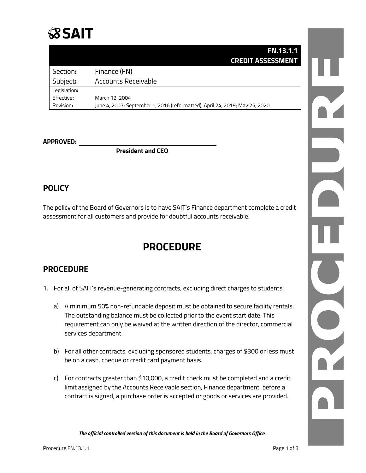

### **FN.13.1.1 CREDIT ASSESSMENT**

| Section:     | Finance (FN)                                                                |
|--------------|-----------------------------------------------------------------------------|
| Subject:     | Accounts Receivable                                                         |
| Legislation: |                                                                             |
| Effective:   | March 12, 2004                                                              |
| Revision:    | June 4, 2007; September 1, 2016 (reformatted); April 24, 2019; May 25, 2020 |

#### **APPROVED:**

**President and CEO**

### **POLICY**

The policy of the Board of Governors is to have SAIT's Finance department complete a credit assessment for all customers and provide for doubtful accounts receivable.

## **PROCEDURE**

### **PROCEDURE**

- 1. For all of SAIT's revenue-generating contracts, excluding direct charges to students:
	- a) A minimum 50% non-refundable deposit must be obtained to secure facility rentals. The outstanding balance must be collected prior to the event start date. This requirement can only be waived at the written direction of the director, commercial services department.
	- b) For all other contracts, excluding sponsored students, charges of \$300 or less must be on a cash, cheque or credit card payment basis.
	- c) For contracts greater than \$10,000, a credit check must be completed and a credit limit assigned by the Accounts Receivable section, Finance department, before a contract is signed, a purchase order is accepted or goods or services are provided.

*The official controlled version of this document is held in the Board of Governors Office.*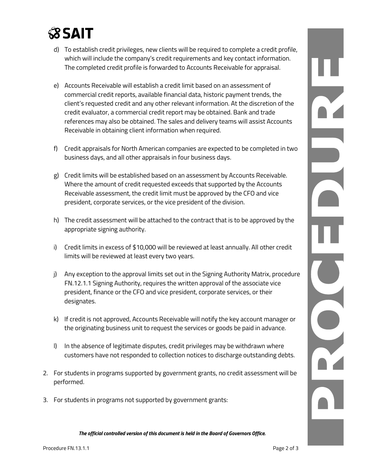# **SSAIT**

- d) To establish credit privileges, new clients will be required to complete a credit profile, which will include the company's credit requirements and key contact information. The completed credit profile is forwarded to Accounts Receivable for appraisal.
- e) Accounts Receivable will establish a credit limit based on an assessment of commercial credit reports, available financial data, historic payment trends, the client's requested credit and any other relevant information. At the discretion of the credit evaluator, a commercial credit report may be obtained. Bank and trade references may also be obtained. The sales and delivery teams will assist Accounts Receivable in obtaining client information when required.
- f) Credit appraisals for North American companies are expected to be completed in two business days, and all other appraisals in four business days.
- g) Credit limits will be established based on an assessment by Accounts Receivable. Where the amount of credit requested exceeds that supported by the Accounts Receivable assessment, the credit limit must be approved by the CFO and vice president, corporate services, or the vice president of the division.
- h) The credit assessment will be attached to the contract that is to be approved by the appropriate signing authority.
- i) Credit limits in excess of \$10,000 will be reviewed at least annually. All other credit limits will be reviewed at least every two years.
- j) Any exception to the approval limits set out in the Signing Authority Matrix, procedure FN.12.1.1 Signing Authority, requires the written approval of the associate vice president, finance or the CFO and vice president, corporate services, or their designates.
- k) If credit is not approved, Accounts Receivable will notify the key account manager or the originating business unit to request the services or goods be paid in advance.
- l) In the absence of legitimate disputes, credit privileges may be withdrawn where customers have not responded to collection notices to discharge outstanding debts.
- 2. For students in programs supported by government grants, no credit assessment will be performed.
- 3. For students in programs not supported by government grants:

*The official controlled version of this document is held in the Board of Governors Office.*